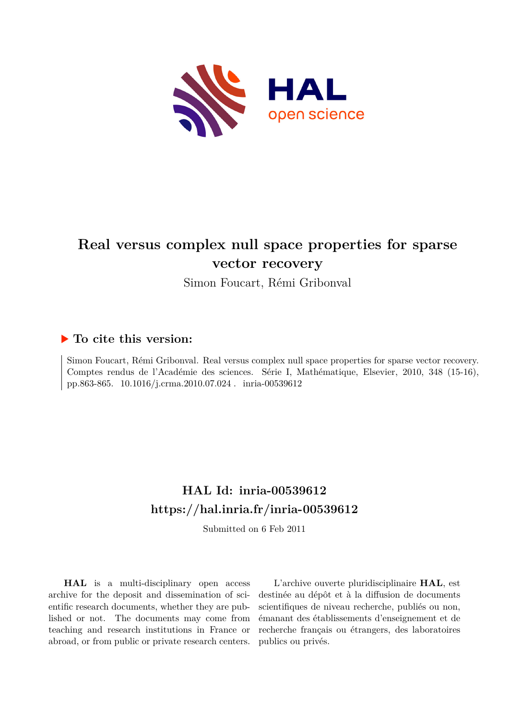

## **Real versus complex null space properties for sparse vector recovery**

Simon Foucart, Rémi Gribonval

### **To cite this version:**

Simon Foucart, Rémi Gribonval. Real versus complex null space properties for sparse vector recovery. Comptes rendus de l'Académie des sciences. Série I, Mathématique, Elsevier, 2010, 348 (15-16), pp.863-865. 10.1016/j.crma.2010.07.024. inria-00539612

## **HAL Id: inria-00539612 <https://hal.inria.fr/inria-00539612>**

Submitted on 6 Feb 2011

**HAL** is a multi-disciplinary open access archive for the deposit and dissemination of scientific research documents, whether they are published or not. The documents may come from teaching and research institutions in France or abroad, or from public or private research centers.

L'archive ouverte pluridisciplinaire **HAL**, est destinée au dépôt et à la diffusion de documents scientifiques de niveau recherche, publiés ou non, émanant des établissements d'enseignement et de recherche français ou étrangers, des laboratoires publics ou privés.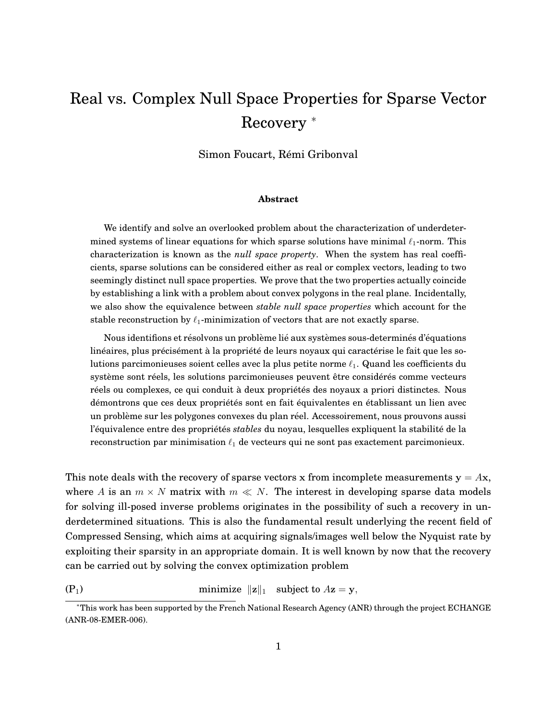# Real vs. Complex Null Space Properties for Sparse Vector Recovery <sup>∗</sup>

Simon Foucart, Rémi Gribonval

#### **Abstract**

We identify and solve an overlooked problem about the characterization of underdetermined systems of linear equations for which sparse solutions have minimal  $\ell_1$ -norm. This characterization is known as the *null space property*. When the system has real coefficients, sparse solutions can be considered either as real or complex vectors, leading to two seemingly distinct null space properties. We prove that the two properties actually coincide by establishing a link with a problem about convex polygons in the real plane. Incidentally, we also show the equivalence between *stable null space properties* which account for the stable reconstruction by  $\ell_1$ -minimization of vectors that are not exactly sparse.

Nous identifions et résolvons un problème lié aux systèmes sous-determinés d'équations linéaires, plus précisément à la propriété de leurs noyaux qui caractérise le fait que les solutions parcimonieuses soient celles avec la plus petite norme  $\ell_1$ . Quand les coefficients du système sont réels, les solutions parcimonieuses peuvent être considérés comme vecteurs réels ou complexes, ce qui conduit à deux propriétés des noyaux a priori distinctes. Nous démontrons que ces deux propriétés sont en fait équivalentes en établissant un lien avec un problème sur les polygones convexes du plan réel. Accessoirement, nous prouvons aussi l'équivalence entre des propriétés *stables* du noyau, lesquelles expliquent la stabilité de la reconstruction par minimisation  $\ell_1$  de vecteurs qui ne sont pas exactement parcimonieux.

This note deals with the recovery of sparse vectors x from incomplete measurements  $y = Ax$ , where A is an  $m \times N$  matrix with  $m \ll N$ . The interest in developing sparse data models for solving ill-posed inverse problems originates in the possibility of such a recovery in underdetermined situations. This is also the fundamental result underlying the recent field of Compressed Sensing, which aims at acquiring signals/images well below the Nyquist rate by exploiting their sparsity in an appropriate domain. It is well known by now that the recovery can be carried out by solving the convex optimization problem

<span id="page-1-0"></span>(P<sub>1</sub>) minimize  $\|\mathbf{z}\|_1$  subject to  $A\mathbf{z} = \mathbf{y}$ ,

<sup>∗</sup>This work has been supported by the French National Research Agency (ANR) through the project ECHANGE (ANR-08-EMER-006).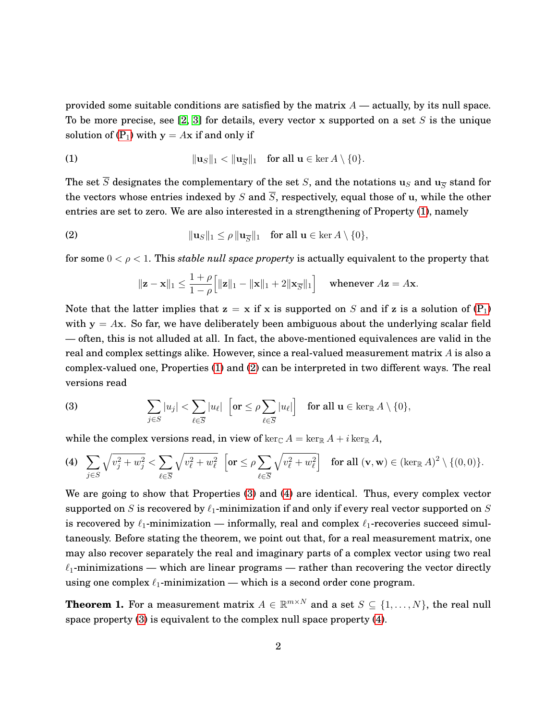provided some suitable conditions are satisfied by the matrix  $A$  — actually, by its null space. To be more precise, see [\[2,](#page-5-0) [3\]](#page-5-1) for details, every vector x supported on a set S is the unique solution of  $(P_1)$  $(P_1)$  with  $y = Ax$  if and only if

(1) 
$$
\|\mathbf{u}_S\|_1 < \|\mathbf{u}_{\overline{S}}\|_1 \quad \text{for all } \mathbf{u} \in \ker A \setminus \{0\}.
$$

The set  $\overline{S}$  designates the complementary of the set S, and the notations u<sub>S</sub> and u<sub>S</sub> stand for the vectors whose entries indexed by S and  $\overline{S}$ , respectively, equal those of u, while the other entries are set to zero. We are also interested in a strengthening of Property [\(1\)](#page-1-0), namely

(2) 
$$
\|\mathbf{u}_S\|_1 \leq \rho \|\mathbf{u}_{\overline{S}}\|_1 \quad \text{for all } \mathbf{u} \in \ker A \setminus \{0\},
$$

for some  $0 < \rho < 1$ . This *stable null space property* is actually equivalent to the property that

<span id="page-2-0"></span>
$$
\|\mathbf{z} - \mathbf{x}\|_1 \le \frac{1+\rho}{1-\rho} \Big[ \|\mathbf{z}\|_1 - \|\mathbf{x}\|_1 + 2\|\mathbf{x}_{\overline{S}}\|_1 \Big] \quad \text{ whenever } A\mathbf{z} = A\mathbf{x}.
$$

Note that the latter implies that  $z = x$  if x is supported on S and if z is a solution of  $(P_1)$  $(P_1)$ with  $y = Ax$ . So far, we have deliberately been ambiguous about the underlying scalar field — often, this is not alluded at all. In fact, the above-mentioned equivalences are valid in the real and complex settings alike. However, since a real-valued measurement matrix A is also a complex-valued one, Properties [\(1\)](#page-1-0) and [\(2\)](#page-2-0) can be interpreted in two different ways. The real versions read

<span id="page-2-1"></span>(3) 
$$
\sum_{j\in S}|u_j| < \sum_{\ell\in \overline{S}}|u_\ell| \left[\text{or } \leq \rho \sum_{\ell\in \overline{S}}|u_\ell|\right] \text{ for all } \mathbf{u} \in \ker_{\mathbb{R}} A\setminus\{0\},
$$

while the complex versions read, in view of  $\ker_{\mathbb{C}} A = \ker_{\mathbb{R}} A + i \ker_{\mathbb{R}} A$ ,

<span id="page-2-2"></span>
$$
\text{(4)}\quad \sum_{j\in S} \sqrt{v_j^2 + w_j^2} < \sum_{\ell \in \overline{S}} \sqrt{v_\ell^2 + w_\ell^2} \quad \left[ \text{or} \le \rho \sum_{\ell \in \overline{S}} \sqrt{v_\ell^2 + w_\ell^2} \right] \quad \text{for all } (\mathbf{v}, \mathbf{w}) \in (\ker_{\mathbb{R}} A)^2 \setminus \{ (0, 0) \}.
$$

We are going to show that Properties [\(3\)](#page-2-1) and [\(4\)](#page-2-2) are identical. Thus, every complex vector supported on S is recovered by  $\ell_1$ -minimization if and only if every real vector supported on S is recovered by  $\ell_1$ -minimization — informally, real and complex  $\ell_1$ -recoveries succeed simultaneously. Before stating the theorem, we point out that, for a real measurement matrix, one may also recover separately the real and imaginary parts of a complex vector using two real  $\ell_1$ -minimizations — which are linear programs — rather than recovering the vector directly using one complex  $\ell_1$ -minimization — which is a second order cone program.

**Theorem 1.** For a measurement matrix  $A \in \mathbb{R}^{m \times N}$  and a set  $S \subseteq \{1, \ldots, N\}$ , the real null space property [\(3\)](#page-2-1) is equivalent to the complex null space property [\(4\)](#page-2-2).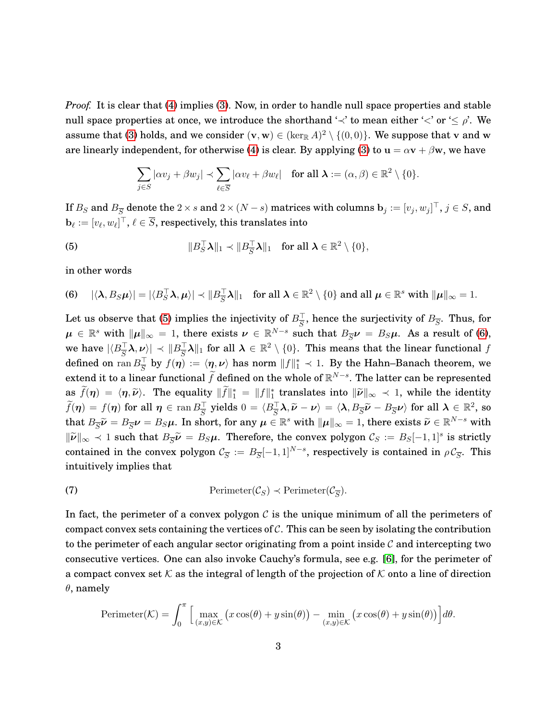*Proof.* It is clear that [\(4\)](#page-2-2) implies [\(3\)](#page-2-1). Now, in order to handle null space properties and stable null space properties at once, we introduce the shorthand ' $\prec$ ' to mean either ' $\prec$ ' or ' $\leq \rho$ '. We assume that [\(3\)](#page-2-1) holds, and we consider  $(v, w) \in (\ker_{\mathbb{R}} A)^2 \setminus \{(0, 0)\}\)$ . We suppose that v and w are linearly independent, for otherwise [\(4\)](#page-2-2) is clear. By applying [\(3\)](#page-2-1) to  $u = \alpha v + \beta w$ , we have

<span id="page-3-0"></span>
$$
\sum_{j\in S} |\alpha v_j + \beta w_j| \prec \sum_{\ell \in \overline{S}} |\alpha v_\ell + \beta w_\ell| \quad \text{for all } \lambda := (\alpha, \beta) \in \mathbb{R}^2 \setminus \{0\}.
$$

If  $B_S$  and  $B_{\overline S}$  denote the 2  $\times$  s and 2  $\times$   $(N-s)$  matrices with columns  ${\bf b}_j:=[v_j,w_j]^\top,$   $j\in S,$  and  $\mathbf{b}_{\ell} := [v_{\ell}, w_{\ell}]^{\top}, \, \ell \in \overline{S},$  respectively, this translates into

(5) 
$$
||B_S^{\top} \lambda||_1 \prec ||B_S^{\top} \lambda||_1 \text{ for all } \lambda \in \mathbb{R}^2 \setminus \{0\},
$$

in other words

<span id="page-3-1"></span>(6) 
$$
|\langle \lambda, B_S \mu \rangle| = |\langle B_S^{\top} \lambda, \mu \rangle| \prec \|B_S^{\top} \lambda\|_1
$$
 for all  $\lambda \in \mathbb{R}^2 \setminus \{0\}$  and all  $\mu \in \mathbb{R}^s$  with  $\|\mu\|_{\infty} = 1$ .

Let us observe that [\(5\)](#page-3-0) implies the injectivity of  $B_{\overline{S}}^{\perp}$ , hence the surjectivity of  $B_{\overline{S}}$ . Thus, for  $\mu \in \mathbb{R}^s$  with  $\|\mu\|_{\infty} = 1$ , there exists  $\nu \in \mathbb{R}^{N-s}$  such that  $B_{\overline{S}}\nu = B_S\mu$ . As a result of [\(6\)](#page-3-1), we have  $|\langle B_{\overline{S}}^{\top}\boldsymbol{\lambda}, \boldsymbol{\nu}\rangle|\prec \|B_{\overline{S}}^{\top}\boldsymbol{\lambda}\|_1$  for all  $\boldsymbol{\lambda}\in\mathbb{R}^2\setminus\{0\}.$  This means that the linear functional  $f$ defined on  $\text{ran}\,B_S^\perp$  by  $f(\bm\eta):=\langle\bm\eta,\bm\nu\rangle$  has norm  $\|f\|_1^*\prec 1.$  By the Hahn–Banach theorem, we extend it to a linear functional  $\tilde{f}$  defined on the whole of  $\mathbb{R}^{N-s}.$  The latter can be represented as  $f(\eta) = \langle \eta, \tilde{\nu} \rangle$ . The equality  $||f||_1^* = ||f||_1^*$  translates into  $||\tilde{\nu}||_{\infty} \prec 1$ , while the identity  $f(\boldsymbol{\eta}) = f(\boldsymbol{\eta}) \text{ for all } \boldsymbol{\eta} \in \operatorname{ran} B_{\overline{S}}^{\top} \text{ yields } 0 = \langle B_{\overline{S}}^{\top} \boldsymbol{\lambda}, \widetilde{\boldsymbol{\nu}} - \boldsymbol{\nu} \rangle = \langle \boldsymbol{\lambda}, B_{\overline{S}} \widetilde{\boldsymbol{\nu}} - B_{\overline{S}} \boldsymbol{\nu} \rangle \text{ for all } \boldsymbol{\lambda} \in \mathbb{R}^2, \text{ so } 0 < \infty$ that  $B_{\overline{S}}\widetilde{\nu} = B_{\overline{S}}\nu = B_S\mu$ . In short, for any  $\mu \in \mathbb{R}^s$  with  $\|\mu\|_{\infty} = 1$ , there exists  $\widetilde{\nu} \in \mathbb{R}^{N-s}$  with  $\|\tilde{\nu}\|_{\infty} \prec 1$  such that  $B_{\overline{S}}\tilde{\nu} = B_S\mu$ . Therefore, the convex polygon  $\mathcal{C}_S := B_S[-1,1]^s$  is strictly contained in the convex polygon  $C_{\overline{S}} := B_{\overline{S}}[-1,1]^{N-s}$ , respectively is contained in  $\rho C_{\overline{S}}$ . This intuitively implies that

<span id="page-3-2"></span>(7) 
$$
\text{Perimeter}(\mathcal{C}_S) \prec \text{Perimeter}(\mathcal{C}_{\overline{S}}).
$$

In fact, the perimeter of a convex polygon  $C$  is the unique minimum of all the perimeters of compact convex sets containing the vertices of  $\mathcal{C}$ . This can be seen by isolating the contribution to the perimeter of each angular sector originating from a point inside  $\mathcal C$  and intercepting two consecutive vertices. One can also invoke Cauchy's formula, see e.g. [\[6\]](#page-5-2), for the perimeter of a compact convex set K as the integral of length of the projection of K onto a line of direction  $\theta$ , namely

Perimeter
$$
(\mathcal{K}) = \int_0^{\pi} \Big[ \max_{(x,y)\in\mathcal{K}} \big( x \cos(\theta) + y \sin(\theta) \big) - \min_{(x,y)\in\mathcal{K}} \big( x \cos(\theta) + y \sin(\theta) \big) \Big] d\theta.
$$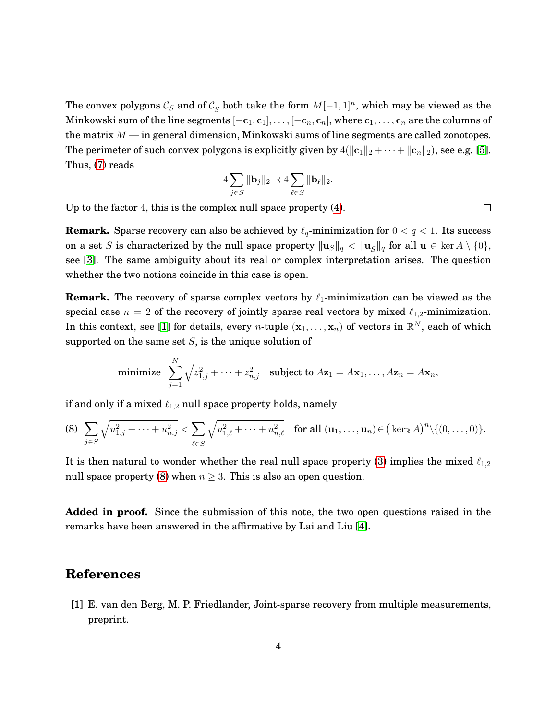The convex polygons  $\mathcal{C}_S$  and of  $\mathcal{C}_{\overline{S}}$  both take the form  $M[-1, 1]^n$ , which may be viewed as the Minkowski sum of the line segments  $[-c_1, c_1], \ldots, [-c_n, c_n]$ , where  $c_1, \ldots, c_n$  are the columns of the matrix  $M$  — in general dimension, Minkowski sums of line segments are called zonotopes. The perimeter of such convex polygons is explicitly given by  $4(\|\mathbf{c}_1\|_2 + \cdots + \|\mathbf{c}_n\|_2)$ , see e.g. [\[5\]](#page-5-3). Thus, [\(7\)](#page-3-2) reads

$$
4\sum_{j\in S}\|\mathbf{b}_j\|_2\prec 4\sum_{\ell\in S}\|\mathbf{b}_\ell\|_2.
$$

Up to the factor 4, this is the complex null space property [\(4\)](#page-2-2).

**Remark.** Sparse recovery can also be achieved by  $\ell_q$ -minimization for  $0 < q < 1$ . Its success on a set S is characterized by the null space property  $\|\mathbf{u}_S\|_q < \|\mathbf{u}_{\overline{S}}\|_q$  for all  $\mathbf{u} \in \text{ker } A \setminus \{0\},$ see [\[3\]](#page-5-1). The same ambiguity about its real or complex interpretation arises. The question whether the two notions coincide in this case is open.

**Remark.** The recovery of sparse complex vectors by  $\ell_1$ -minimization can be viewed as the special case  $n = 2$  of the recovery of jointly sparse real vectors by mixed  $\ell_{1,2}$ -minimization. In this context, see [\[1\]](#page-4-0) for details, every *n*-tuple  $(x_1,...,x_n)$  of vectors in  $\mathbb{R}^N$ , each of which supported on the same set  $S$ , is the unique solution of

minimize 
$$
\sum_{j=1}^{N} \sqrt{z_{1,j}^2 + \cdots + z_{n,j}^2}
$$
 subject to  $Az_1 = Ax_1, \ldots, Az_n = Ax_n$ ,

if and only if a mixed  $\ell_{1,2}$  null space property holds, namely

<span id="page-4-1"></span>
$$
\text{(8)} \quad \sum_{j \in S} \sqrt{u_{1,j}^2 + \dots + u_{n,j}^2} < \sum_{\ell \in \overline{S}} \sqrt{u_{1,\ell}^2 + \dots + u_{n,\ell}^2} \quad \text{for all } (u_1, \dots, u_n) \in \text{(\text{ker}_{\mathbb{R}} A)}^n \setminus \{(0, \dots, 0)\}.
$$

It is then natural to wonder whether the real null space property [\(3\)](#page-2-1) implies the mixed  $\ell_{1,2}$ null space property [\(8\)](#page-4-1) when  $n \geq 3$ . This is also an open question.

**Added in proof.** Since the submission of this note, the two open questions raised in the remarks have been answered in the affirmative by Lai and Liu [\[4\]](#page-5-4).

#### **References**

<span id="page-4-0"></span>[1] E. van den Berg, M. P. Friedlander, Joint-sparse recovery from multiple measurements, preprint.